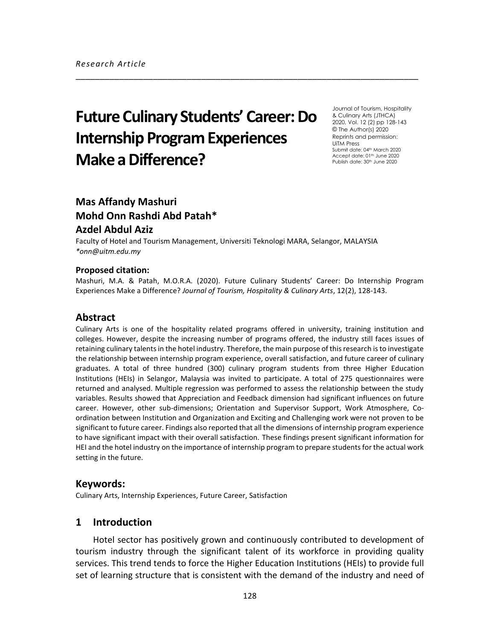# **Future Culinary Students' Career: Do Internship Program Experiences Make a Difference?**

Journal of Tourism, Hospitality & Culinary Arts (JTHCA) 2020, Vol. 12 (2) pp 128-143 © The Author(s) 2020 Reprints and permission: UiTM Press Submit date: 04<sup>th</sup> March 2020 Accept date: 01<sup>th</sup> June 2020 Publish date: 30<sup>th</sup> June 2020

## **Mas Affandy Mashuri Mohd Onn Rashdi Abd Patah\***

## **Azdel Abdul Aziz**

Faculty of Hotel and Tourism Management, Universiti Teknologi MARA, Selangor, MALAYSIA *\*onn@uitm.edu.my*

#### **Proposed citation:**

Mashuri, M.A. & Patah, M.O.R.A. (2020). Future Culinary Students' Career: Do Internship Program Experiences Make a Difference? *Journal of Tourism, Hospitality & Culinary Arts*, 12(2), 128-143.

\_\_\_\_\_\_\_\_\_\_\_\_\_\_\_\_\_\_\_\_\_\_\_\_\_\_\_\_\_\_\_\_\_\_\_\_\_\_\_\_\_\_\_\_\_\_\_\_\_\_\_\_\_\_\_\_\_\_\_\_\_\_\_\_\_\_\_\_\_\_\_

## **Abstract**

Culinary Arts is one of the hospitality related programs offered in university, training institution and colleges. However, despite the increasing number of programs offered, the industry still faces issues of retaining culinary talents in the hotel industry. Therefore, the main purpose of this research is to investigate the relationship between internship program experience, overall satisfaction, and future career of culinary graduates. A total of three hundred (300) culinary program students from three Higher Education Institutions (HEIs) in Selangor, Malaysia was invited to participate. A total of 275 questionnaires were returned and analysed. Multiple regression was performed to assess the relationship between the study variables. Results showed that Appreciation and Feedback dimension had significant influences on future career. However, other sub-dimensions; Orientation and Supervisor Support, Work Atmosphere, Coordination between Institution and Organization and Exciting and Challenging work were not proven to be significant to future career. Findings also reported that all the dimensions of internship program experience to have significant impact with their overall satisfaction. These findings present significant information for HEI and the hotel industry on the importance of internship program to prepare students for the actual work setting in the future.

## **Keywords:**

Culinary Arts, Internship Experiences, Future Career, Satisfaction

## **1 Introduction**

Hotel sector has positively grown and continuously contributed to development of tourism industry through the significant talent of its workforce in providing quality services. This trend tends to force the Higher Education Institutions (HEIs) to provide full set of learning structure that is consistent with the demand of the industry and need of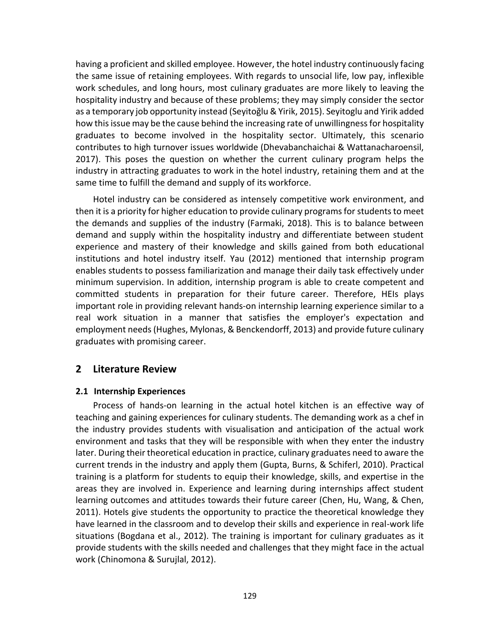having a proficient and skilled employee. However, the hotel industry continuously facing the same issue of retaining employees. With regards to unsocial life, low pay, inflexible work schedules, and long hours, most culinary graduates are more likely to leaving the hospitality industry and because of these problems; they may simply consider the sector as a temporary job opportunity instead (Seyitoğlu & Yirik, 2015). Seyitoglu and Yirik added how this issue may be the cause behind the increasing rate of unwillingness for hospitality graduates to become involved in the hospitality sector. Ultimately, this scenario contributes to high turnover issues worldwide (Dhevabanchaichai & Wattanacharoensil, 2017). This poses the question on whether the current culinary program helps the industry in attracting graduates to work in the hotel industry, retaining them and at the same time to fulfill the demand and supply of its workforce.

Hotel industry can be considered as intensely competitive work environment, and then it is a priority for higher education to provide culinary programs for students to meet the demands and supplies of the industry (Farmaki, 2018). This is to balance between demand and supply within the hospitality industry and differentiate between student experience and mastery of their knowledge and skills gained from both educational institutions and hotel industry itself. Yau (2012) mentioned that internship program enables students to possess familiarization and manage their daily task effectively under minimum supervision. In addition, internship program is able to create competent and committed students in preparation for their future career. Therefore, HEIs plays important role in providing relevant hands-on internship learning experience similar to a real work situation in a manner that satisfies the employer's expectation and employment needs(Hughes, Mylonas, & Benckendorff, 2013) and provide future culinary graduates with promising career.

## **2 Literature Review**

## **2.1 Internship Experiences**

Process of hands-on learning in the actual hotel kitchen is an effective way of teaching and gaining experiences for culinary students. The demanding work as a chef in the industry provides students with visualisation and anticipation of the actual work environment and tasks that they will be responsible with when they enter the industry later. During their theoretical education in practice, culinary graduates need to aware the current trends in the industry and apply them (Gupta, Burns, & Schiferl, 2010). Practical training is a platform for students to equip their knowledge, skills, and expertise in the areas they are involved in. Experience and learning during internships affect student learning outcomes and attitudes towards their future career (Chen, Hu, Wang, & Chen, 2011). Hotels give students the opportunity to practice the theoretical knowledge they have learned in the classroom and to develop their skills and experience in real-work life situations (Bogdana et al., 2012). The training is important for culinary graduates as it provide students with the skills needed and challenges that they might face in the actual work (Chinomona & Surujlal, 2012).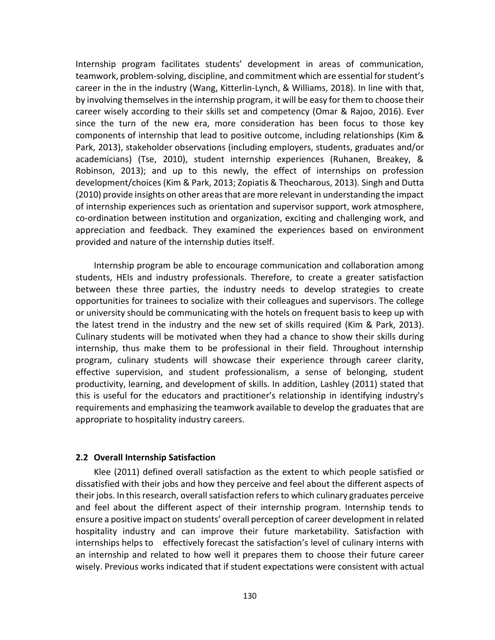Internship program facilitates students' development in areas of communication, teamwork, problem-solving, discipline, and commitment which are essential for student's career in the in the industry (Wang, Kitterlin-Lynch, & Williams, 2018). In line with that, by involving themselves in the internship program, it will be easy for them to choose their career wisely according to their skills set and competency (Omar & Rajoo, 2016). Ever since the turn of the new era, more consideration has been focus to those key components of internship that lead to positive outcome, including relationships (Kim & Park, 2013), stakeholder observations (including employers, students, graduates and/or academicians) (Tse, 2010), student internship experiences (Ruhanen, Breakey, & Robinson, 2013); and up to this newly, the effect of internships on profession development/choices (Kim & Park, 2013; Zopiatis & Theocharous, 2013). Singh and Dutta (2010) provide insights on other areas that are more relevant in understanding the impact of internship experiences such as orientation and supervisor support, work atmosphere, co-ordination between institution and organization, exciting and challenging work, and appreciation and feedback. They examined the experiences based on environment provided and nature of the internship duties itself.

Internship program be able to encourage communication and collaboration among students, HEIs and industry professionals. Therefore, to create a greater satisfaction between these three parties, the industry needs to develop strategies to create opportunities for trainees to socialize with their colleagues and supervisors. The college or university should be communicating with the hotels on frequent basis to keep up with the latest trend in the industry and the new set of skills required (Kim & Park, 2013). Culinary students will be motivated when they had a chance to show their skills during internship, thus make them to be professional in their field. Throughout internship program, culinary students will showcase their experience through career clarity, effective supervision, and student professionalism, a sense of belonging, student productivity, learning, and development of skills. In addition, Lashley (2011) stated that this is useful for the educators and practitioner's relationship in identifying industry's requirements and emphasizing the teamwork available to develop the graduates that are appropriate to hospitality industry careers.

#### **2.2 Overall Internship Satisfaction**

Klee (2011) defined overall satisfaction as the extent to which people satisfied or dissatisfied with their jobs and how they perceive and feel about the different aspects of their jobs. In this research, overall satisfaction refers to which culinary graduates perceive and feel about the different aspect of their internship program. Internship tends to ensure a positive impact on students' overall perception of career development in related hospitality industry and can improve their future marketability. Satisfaction with internships helps to effectively forecast the satisfaction's level of culinary interns with an internship and related to how well it prepares them to choose their future career wisely. Previous works indicated that if student expectations were consistent with actual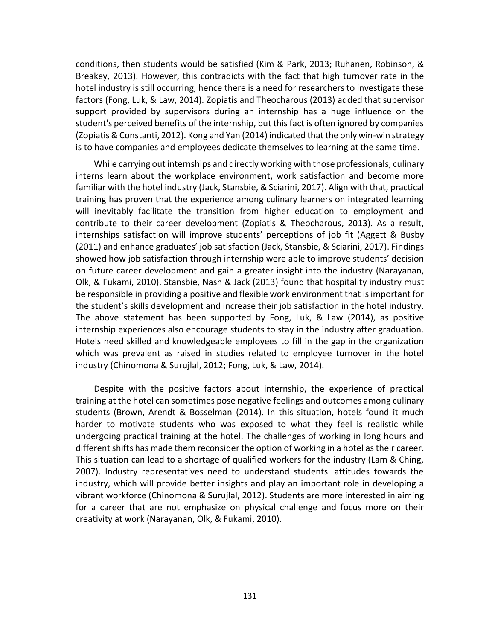conditions, then students would be satisfied (Kim & Park, 2013; Ruhanen, Robinson, & Breakey, 2013). However, this contradicts with the fact that high turnover rate in the hotel industry is still occurring, hence there is a need for researchers to investigate these factors (Fong, Luk, & Law, 2014). Zopiatis and Theocharous (2013) added that supervisor support provided by supervisors during an internship has a huge influence on the student's perceived benefits of the internship, but this fact is often ignored by companies (Zopiatis & Constanti, 2012). Kong and Yan (2014) indicated that the only win-win strategy is to have companies and employees dedicate themselves to learning at the same time.

While carrying out internships and directly working with those professionals, culinary interns learn about the workplace environment, work satisfaction and become more familiar with the hotel industry (Jack, Stansbie, & Sciarini, 2017). Align with that, practical training has proven that the experience among culinary learners on integrated learning will inevitably facilitate the transition from higher education to employment and contribute to their career development (Zopiatis & Theocharous, 2013). As a result, internships satisfaction will improve students' perceptions of job fit (Aggett & Busby (2011) and enhance graduates' job satisfaction (Jack, Stansbie, & Sciarini, 2017). Findings showed how job satisfaction through internship were able to improve students' decision on future career development and gain a greater insight into the industry (Narayanan, Olk, & Fukami, 2010). Stansbie, Nash & Jack (2013) found that hospitality industry must be responsible in providing a positive and flexible work environment that is important for the student's skills development and increase their job satisfaction in the hotel industry. The above statement has been supported by Fong, Luk, & Law (2014), as positive internship experiences also encourage students to stay in the industry after graduation. Hotels need skilled and knowledgeable employees to fill in the gap in the organization which was prevalent as raised in studies related to employee turnover in the hotel industry (Chinomona & Surujlal, 2012; Fong, Luk, & Law, 2014).

Despite with the positive factors about internship, the experience of practical training at the hotel can sometimes pose negative feelings and outcomes among culinary students (Brown, Arendt & Bosselman (2014). In this situation, hotels found it much harder to motivate students who was exposed to what they feel is realistic while undergoing practical training at the hotel. The challenges of working in long hours and different shifts has made them reconsider the option of working in a hotel as their career. This situation can lead to a shortage of qualified workers for the industry (Lam & Ching, 2007). Industry representatives need to understand students' attitudes towards the industry, which will provide better insights and play an important role in developing a vibrant workforce (Chinomona & Surujlal, 2012). Students are more interested in aiming for a career that are not emphasize on physical challenge and focus more on their creativity at work (Narayanan, Olk, & Fukami, 2010).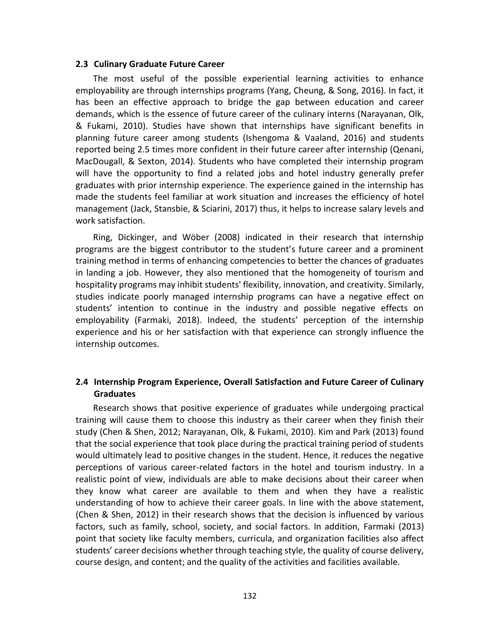#### **2.3 Culinary Graduate Future Career**

The most useful of the possible experiential learning activities to enhance employability are through internships programs (Yang, Cheung, & Song, 2016). In fact, it has been an effective approach to bridge the gap between education and career demands, which is the essence of future career of the culinary interns (Narayanan, Olk, & Fukami, 2010). Studies have shown that internships have significant benefits in planning future career among students (Ishengoma & Vaaland, 2016) and students reported being 2.5 times more confident in their future career after internship (Qenani, MacDougall, & Sexton, 2014). Students who have completed their internship program will have the opportunity to find a related jobs and hotel industry generally prefer graduates with prior internship experience. The experience gained in the internship has made the students feel familiar at work situation and increases the efficiency of hotel management (Jack, Stansbie, & Sciarini, 2017) thus, it helps to increase salary levels and work satisfaction.

Ring, Dickinger, and Wöber (2008) indicated in their research that internship programs are the biggest contributor to the student's future career and a prominent training method in terms of enhancing competencies to better the chances of graduates in landing a job. However, they also mentioned that the homogeneity of tourism and hospitality programs may inhibit students' flexibility, innovation, and creativity. Similarly, studies indicate poorly managed internship programs can have a negative effect on students' intention to continue in the industry and possible negative effects on employability (Farmaki, 2018). Indeed, the students' perception of the internship experience and his or her satisfaction with that experience can strongly influence the internship outcomes.

## **2.4 Internship Program Experience, Overall Satisfaction and Future Career of Culinary Graduates**

Research shows that positive experience of graduates while undergoing practical training will cause them to choose this industry as their career when they finish their study (Chen & Shen, 2012; Narayanan, Olk, & Fukami, 2010). Kim and Park (2013) found that the social experience that took place during the practical training period of students would ultimately lead to positive changes in the student. Hence, it reduces the negative perceptions of various career-related factors in the hotel and tourism industry. In a realistic point of view, individuals are able to make decisions about their career when they know what career are available to them and when they have a realistic understanding of how to achieve their career goals. In line with the above statement, (Chen & Shen, 2012) in their research shows that the decision is influenced by various factors, such as family, school, society, and social factors. In addition, Farmaki (2013) point that society like faculty members, curricula, and organization facilities also affect students' career decisions whether through teaching style, the quality of course delivery, course design, and content; and the quality of the activities and facilities available.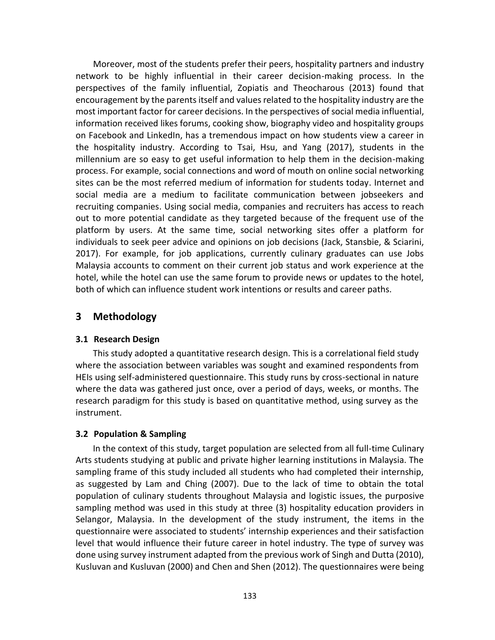Moreover, most of the students prefer their peers, hospitality partners and industry network to be highly influential in their career decision-making process. In the perspectives of the family influential, Zopiatis and Theocharous (2013) found that encouragement by the parents itself and values related to the hospitality industry are the most important factor for career decisions. In the perspectives of social media influential, information received likes forums, cooking show, biography video and hospitality groups on Facebook and LinkedIn, has a tremendous impact on how students view a career in the hospitality industry. According to Tsai, Hsu, and Yang (2017), students in the millennium are so easy to get useful information to help them in the decision-making process. For example, social connections and word of mouth on online social networking sites can be the most referred medium of information for students today. Internet and social media are a medium to facilitate communication between jobseekers and recruiting companies. Using social media, companies and recruiters has access to reach out to more potential candidate as they targeted because of the frequent use of the platform by users. At the same time, social networking sites offer a platform for individuals to seek peer advice and opinions on job decisions (Jack, Stansbie, & Sciarini, 2017). For example, for job applications, currently culinary graduates can use Jobs Malaysia accounts to comment on their current job status and work experience at the hotel, while the hotel can use the same forum to provide news or updates to the hotel, both of which can influence student work intentions or results and career paths.

## **3 Methodology**

## **3.1 Research Design**

This study adopted a quantitative research design. This is a correlational field study where the association between variables was sought and examined respondents from HEIs using self-administered questionnaire. This study runs by cross-sectional in nature where the data was gathered just once, over a period of days, weeks, or months. The research paradigm for this study is based on quantitative method, using survey as the instrument.

## **3.2 Population & Sampling**

In the context of this study, target population are selected from all full-time Culinary Arts students studying at public and private higher learning institutions in Malaysia. The sampling frame of this study included all students who had completed their internship, as suggested by Lam and Ching (2007). Due to the lack of time to obtain the total population of culinary students throughout Malaysia and logistic issues, the purposive sampling method was used in this study at three (3) hospitality education providers in Selangor, Malaysia. In the development of the study instrument, the items in the questionnaire were associated to students' internship experiences and their satisfaction level that would influence their future career in hotel industry. The type of survey was done using survey instrument adapted from the previous work of Singh and Dutta (2010), Kusluvan and Kusluvan (2000) and Chen and Shen (2012). The questionnaires were being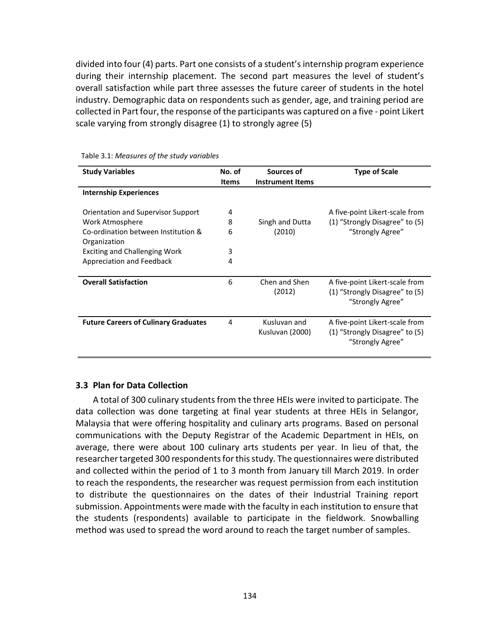divided into four (4) parts. Part one consists of a student's internship program experience during their internship placement. The second part measures the level of student's overall satisfaction while part three assesses the future career of students in the hotel industry. Demographic data on respondents such as gender, age, and training period are collected in Part four, the response of the participants was captured on a five - point Likert scale varying from strongly disagree (1) to strongly agree (5)

| <b>Study Variables</b>                              | No. of<br><b>Items</b> | Sources of<br><b>Instrument Items</b> | <b>Type of Scale</b>                                                                 |
|-----------------------------------------------------|------------------------|---------------------------------------|--------------------------------------------------------------------------------------|
| <b>Internship Experiences</b>                       |                        |                                       |                                                                                      |
| Orientation and Supervisor Support                  | 4                      |                                       | A five-point Likert-scale from                                                       |
| Work Atmosphere                                     | 8                      | Singh and Dutta                       | (1) "Strongly Disagree" to (5)                                                       |
| Co-ordination between Institution &<br>Organization | 6                      | (2010)                                | "Strongly Agree"                                                                     |
| <b>Exciting and Challenging Work</b>                | 3                      |                                       |                                                                                      |
| Appreciation and Feedback                           | 4                      |                                       |                                                                                      |
| <b>Overall Satisfaction</b>                         | 6                      | Chen and Shen<br>(2012)               | A five-point Likert-scale from<br>(1) "Strongly Disagree" to (5)<br>"Strongly Agree" |
| <b>Future Careers of Culinary Graduates</b>         | 4                      | Kusluvan and<br>Kusluvan (2000)       | A five-point Likert-scale from<br>(1) "Strongly Disagree" to (5)<br>"Strongly Agree" |

Table 3.1: *Measures of the study variables*

#### **3.3 Plan for Data Collection**

A total of 300 culinary students from the three HEIs were invited to participate. The data collection was done targeting at final year students at three HEIs in Selangor, Malaysia that were offering hospitality and culinary arts programs. Based on personal communications with the Deputy Registrar of the Academic Department in HEIs, on average, there were about 100 culinary arts students per year. In lieu of that, the researcher targeted 300 respondents for this study. The questionnaires were distributed and collected within the period of 1 to 3 month from January till March 2019. In order to reach the respondents, the researcher was request permission from each institution to distribute the questionnaires on the dates of their Industrial Training report submission. Appointments were made with the faculty in each institution to ensure that the students (respondents) available to participate in the fieldwork. Snowballing method was used to spread the word around to reach the target number of samples.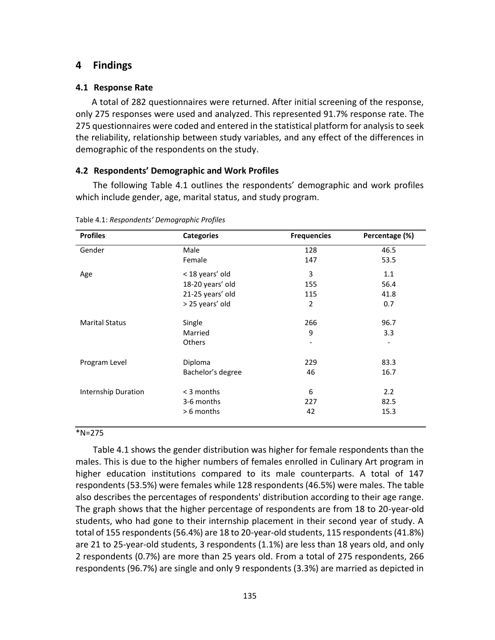## **4 Findings**

## **4.1 Response Rate**

A total of 282 questionnaires were returned. After initial screening of the response, only 275 responses were used and analyzed. This represented 91.7% response rate. The 275 questionnaires were coded and entered in the statistical platform for analysis to seek the reliability, relationship between study variables, and any effect of the differences in demographic of the respondents on the study.

## **4.2 Respondents' Demographic and Work Profiles**

The following Table 4.1 outlines the respondents' demographic and work profiles which include gender, age, marital status, and study program.

| <b>Profiles</b>       | <b>Categories</b> | <b>Frequencies</b> | Percentage (%) |
|-----------------------|-------------------|--------------------|----------------|
| Gender                | Male              | 128                | 46.5           |
|                       | Female            | 147                | 53.5           |
| Age                   | < 18 years' old   | 3                  | 1.1            |
|                       | 18-20 years' old  | 155                | 56.4           |
|                       | 21-25 years' old  | 115                | 41.8           |
|                       | > 25 years' old   | $\overline{2}$     | 0.7            |
| <b>Marital Status</b> | Single            | 266                | 96.7           |
|                       | Married           | 9                  | 3.3            |
|                       | <b>Others</b>     |                    |                |
| Program Level         | Diploma           | 229                | 83.3           |
|                       | Bachelor's degree | 46                 | 16.7           |
| Internship Duration   | < 3 months        | 6                  | 2.2            |
|                       | 3-6 months        | 227                | 82.5           |
|                       | > 6 months        | 42                 | 15.3           |

Table 4.1: *Respondents' Demographic Profiles*

#### \*N=275

Table 4.1 shows the gender distribution was higher for female respondents than the males. This is due to the higher numbers of females enrolled in Culinary Art program in higher education institutions compared to its male counterparts. A total of 147 respondents (53.5%) were females while 128 respondents (46.5%) were males. The table also describes the percentages of respondents' distribution according to their age range. The graph shows that the higher percentage of respondents are from 18 to 20-year-old students, who had gone to their internship placement in their second year of study. A total of 155 respondents (56.4%) are 18 to 20-year-old students, 115 respondents (41.8%) are 21 to 25-year-old students, 3 respondents (1.1%) are less than 18 years old, and only 2 respondents (0.7%) are more than 25 years old. From a total of 275 respondents, 266 respondents (96.7%) are single and only 9 respondents (3.3%) are married as depicted in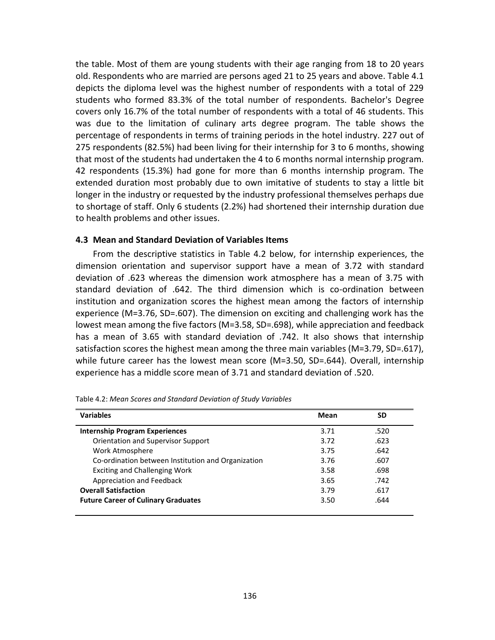the table. Most of them are young students with their age ranging from 18 to 20 years old. Respondents who are married are persons aged 21 to 25 years and above. Table 4.1 depicts the diploma level was the highest number of respondents with a total of 229 students who formed 83.3% of the total number of respondents. Bachelor's Degree covers only 16.7% of the total number of respondents with a total of 46 students. This was due to the limitation of culinary arts degree program. The table shows the percentage of respondents in terms of training periods in the hotel industry. 227 out of 275 respondents (82.5%) had been living for their internship for 3 to 6 months, showing that most of the students had undertaken the 4 to 6 months normal internship program. 42 respondents (15.3%) had gone for more than 6 months internship program. The extended duration most probably due to own imitative of students to stay a little bit longer in the industry or requested by the industry professional themselves perhaps due to shortage of staff. Only 6 students (2.2%) had shortened their internship duration due to health problems and other issues.

#### **4.3 Mean and Standard Deviation of Variables Items**

From the descriptive statistics in Table 4.2 below, for internship experiences, the dimension orientation and supervisor support have a mean of 3.72 with standard deviation of .623 whereas the dimension work atmosphere has a mean of 3.75 with standard deviation of .642. The third dimension which is co-ordination between institution and organization scores the highest mean among the factors of internship experience (M=3.76, SD=.607). The dimension on exciting and challenging work has the lowest mean among the five factors (M=3.58, SD=.698), while appreciation and feedback has a mean of 3.65 with standard deviation of .742. It also shows that internship satisfaction scores the highest mean among the three main variables (M=3.79, SD=.617), while future career has the lowest mean score (M=3.50, SD=.644). Overall, internship experience has a middle score mean of 3.71 and standard deviation of .520.

| <b>Variables</b>                                   | Mean | <b>SD</b> |
|----------------------------------------------------|------|-----------|
| <b>Internship Program Experiences</b>              | 3.71 | .520      |
| Orientation and Supervisor Support                 | 3.72 | .623      |
| Work Atmosphere                                    | 3.75 | .642      |
| Co-ordination between Institution and Organization | 3.76 | .607      |
| <b>Exciting and Challenging Work</b>               | 3.58 | .698      |
| Appreciation and Feedback                          | 3.65 | .742      |
| <b>Overall Satisfaction</b>                        | 3.79 | .617      |
| <b>Future Career of Culinary Graduates</b>         | 3.50 | .644      |
|                                                    |      |           |

Table 4.2: *Mean Scores and Standard Deviation of Study Variables*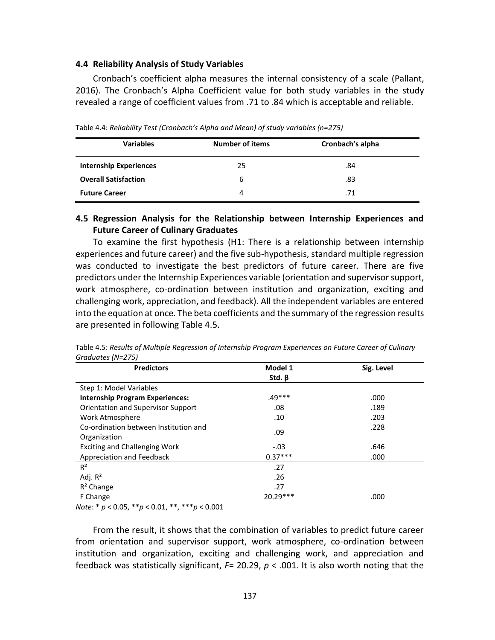#### **4.4 Reliability Analysis of Study Variables**

Cronbach's coefficient alpha measures the internal consistency of a scale (Pallant, 2016). The Cronbach's Alpha Coefficient value for both study variables in the study revealed a range of coefficient values from .71 to .84 which is acceptable and reliable.

| <b>Variables</b>              | <b>Number of items</b> | Cronbach's alpha |
|-------------------------------|------------------------|------------------|
| <b>Internship Experiences</b> | 25                     | .84              |
| <b>Overall Satisfaction</b>   | 6                      | .83              |
| <b>Future Career</b>          | 4                      | .71              |

Table 4.4: *Reliability Test (Cronbach's Alpha and Mean) of study variables (n=275)*

## **4.5 Regression Analysis for the Relationship between Internship Experiences and Future Career of Culinary Graduates**

To examine the first hypothesis (H1: There is a relationship between internship experiences and future career) and the five sub-hypothesis, standard multiple regression was conducted to investigate the best predictors of future career. There are five predictors under the Internship Experiences variable (orientation and supervisor support, work atmosphere, co-ordination between institution and organization, exciting and challenging work, appreciation, and feedback). All the independent variables are entered into the equation at once. The beta coefficients and the summary of the regression results are presented in following Table 4.5.

| <b>Predictors</b>                         | Model 1      | Sig. Level |
|-------------------------------------------|--------------|------------|
|                                           | Std. $\beta$ |            |
| Step 1: Model Variables                   |              |            |
| <b>Internship Program Experiences:</b>    | $.49***$     | .000       |
| <b>Orientation and Supervisor Support</b> | .08          | .189       |
| Work Atmosphere                           | .10          | .203       |
| Co-ordination between Institution and     | .09          | .228       |
| Organization                              |              |            |
| <b>Exciting and Challenging Work</b>      | $-.03$       | .646       |
| Appreciation and Feedback                 | $0.37***$    | .000       |
| $R^2$                                     | .27          |            |
| Adj. $R^2$                                | .26          |            |
| $R^2$ Change                              | .27          |            |
| F Change                                  | 20.29 ***    | .000       |

Table 4.5: *Results of Multiple Regression of Internship Program Experiences on Future Career of Culinary Graduates (N=275)*

*Note*: \* *p* < 0.05, \*\**p* < 0.01, \*\*, \*\*\**p* < 0.001

From the result, it shows that the combination of variables to predict future career from orientation and supervisor support, work atmosphere, co-ordination between institution and organization, exciting and challenging work, and appreciation and feedback was statistically significant, *F*= 20.29, *p* < .001. It is also worth noting that the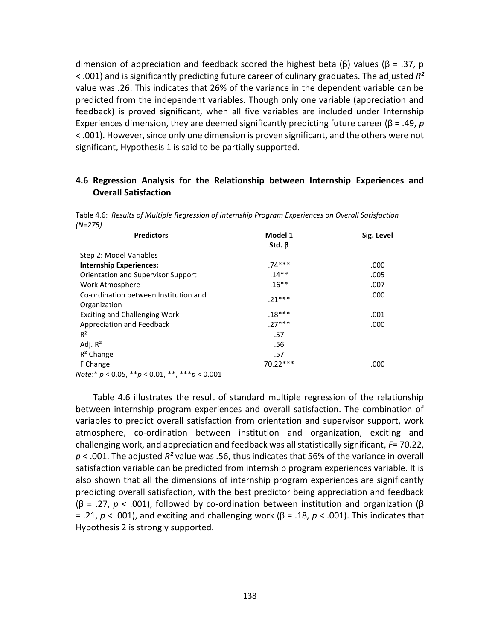dimension of appreciation and feedback scored the highest beta (β) values (β = .37, p < .001) and is significantly predicting future career of culinary graduates. The adjusted *R²* value was .26. This indicates that 26% of the variance in the dependent variable can be predicted from the independent variables. Though only one variable (appreciation and feedback) is proved significant, when all five variables are included under Internship Experiences dimension, they are deemed significantly predicting future career (β = .49, *p* < .001). However, since only one dimension is proven significant, and the others were not significant, Hypothesis 1 is said to be partially supported.

## **4.6 Regression Analysis for the Relationship between Internship Experiences and Overall Satisfaction**

Table 4.6: *Results of Multiple Regression of Internship Program Experiences on Overall Satisfaction (N=275)*

| <b>Predictors</b>                         | Model 1      | Sig. Level |
|-------------------------------------------|--------------|------------|
|                                           | Std. $\beta$ |            |
| Step 2: Model Variables                   |              |            |
| <b>Internship Experiences:</b>            | $.74***$     | .000       |
| <b>Orientation and Supervisor Support</b> | $.14**$      | .005       |
| Work Atmosphere                           | $.16***$     | .007       |
| Co-ordination between Institution and     | $.21***$     | .000       |
| Organization                              |              |            |
| <b>Exciting and Challenging Work</b>      | $.18***$     | .001       |
| Appreciation and Feedback                 | $.27***$     | .000       |
| $R^2$                                     | .57          |            |
| Adj. $R^2$                                | .56          |            |
| $R^2$ Change                              | .57          |            |
| F Change                                  | 70.22***     | .000       |

*Note*:\* *p* < 0.05, \*\**p* < 0.01, \*\*, \*\*\**p* < 0.001

Table 4.6 illustrates the result of standard multiple regression of the relationship between internship program experiences and overall satisfaction. The combination of variables to predict overall satisfaction from orientation and supervisor support, work atmosphere, co-ordination between institution and organization, exciting and challenging work, and appreciation and feedback was all statistically significant, *F*= 70.22, *p* < .001. The adjusted *R²* value was .56, thus indicates that 56% of the variance in overall satisfaction variable can be predicted from internship program experiences variable. It is also shown that all the dimensions of internship program experiences are significantly predicting overall satisfaction, with the best predictor being appreciation and feedback (β = .27, *p* < .001), followed by co-ordination between institution and organization (β = .21, *p* < .001), and exciting and challenging work (β = .18, *p* < .001). This indicates that Hypothesis 2 is strongly supported.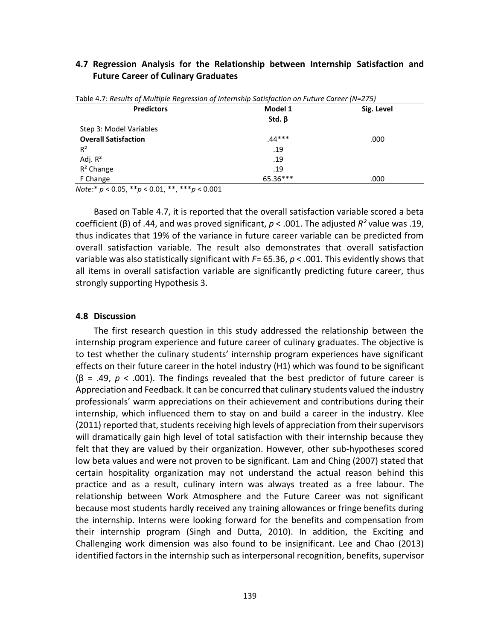#### **4.7 Regression Analysis for the Relationship between Internship Satisfaction and Future Career of Culinary Graduates**

| <b>Predictors</b>           | Model 1      | Sig. Level |
|-----------------------------|--------------|------------|
|                             | Std. $\beta$ |            |
| Step 3: Model Variables     |              |            |
| <b>Overall Satisfaction</b> | $.44***$     | .000       |
| $R^2$                       | .19          |            |
| Adj. $R^2$                  | .19          |            |
| $R^2$ Change                | .19          |            |
| F Change                    | 65.36***     | .000       |

Table 4.7: *Results of Multiple Regression of Internship Satisfaction on Future Career (N=275)*

*Note*:\* *p* < 0.05, \*\**p* < 0.01, \*\*, \*\*\**p* < 0.001

Based on Table 4.7, it is reported that the overall satisfaction variable scored a beta coefficient (β) of .44, and was proved significant, *p* < .001. The adjusted *R²* value was .19, thus indicates that 19% of the variance in future career variable can be predicted from overall satisfaction variable. The result also demonstrates that overall satisfaction variable was also statistically significant with *F*= 65.36, *p* < .001. This evidently shows that all items in overall satisfaction variable are significantly predicting future career, thus strongly supporting Hypothesis 3.

#### **4.8 Discussion**

The first research question in this study addressed the relationship between the internship program experience and future career of culinary graduates. The objective is to test whether the culinary students' internship program experiences have significant effects on their future career in the hotel industry (H1) which was found to be significant (β = .49, *p* < .001). The findings revealed that the best predictor of future career is Appreciation and Feedback. It can be concurred that culinary students valued the industry professionals' warm appreciations on their achievement and contributions during their internship, which influenced them to stay on and build a career in the industry. Klee (2011) reported that, students receiving high levels of appreciation from their supervisors will dramatically gain high level of total satisfaction with their internship because they felt that they are valued by their organization. However, other sub-hypotheses scored low beta values and were not proven to be significant. Lam and Ching (2007) stated that certain hospitality organization may not understand the actual reason behind this practice and as a result, culinary intern was always treated as a free labour. The relationship between Work Atmosphere and the Future Career was not significant because most students hardly received any training allowances or fringe benefits during the internship. Interns were looking forward for the benefits and compensation from their internship program (Singh and Dutta, 2010). In addition, the Exciting and Challenging work dimension was also found to be insignificant. Lee and Chao (2013) identified factors in the internship such as interpersonal recognition, benefits, supervisor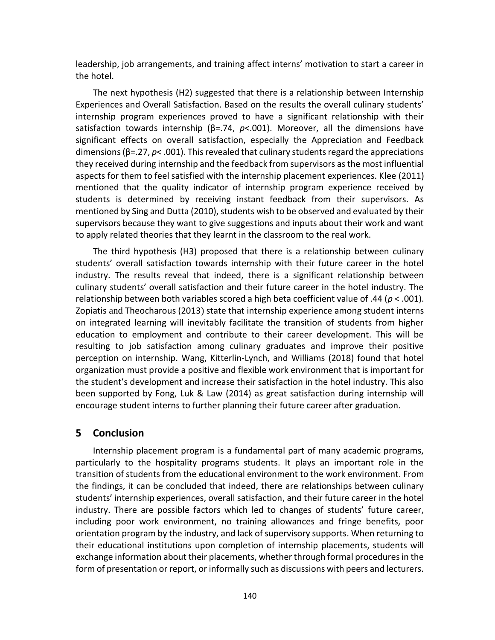leadership, job arrangements, and training affect interns' motivation to start a career in the hotel.

The next hypothesis (H2) suggested that there is a relationship between Internship Experiences and Overall Satisfaction. Based on the results the overall culinary students' internship program experiences proved to have a significant relationship with their satisfaction towards internship (β=.74, *p*<.001). Moreover, all the dimensions have significant effects on overall satisfaction, especially the Appreciation and Feedback dimensions (β=.27, *p*< .001). This revealed that culinary students regard the appreciations they received during internship and the feedback from supervisors as the most influential aspects for them to feel satisfied with the internship placement experiences. Klee (2011) mentioned that the quality indicator of internship program experience received by students is determined by receiving instant feedback from their supervisors. As mentioned by Sing and Dutta (2010), students wish to be observed and evaluated by their supervisors because they want to give suggestions and inputs about their work and want to apply related theories that they learnt in the classroom to the real work.

The third hypothesis (H3) proposed that there is a relationship between culinary students' overall satisfaction towards internship with their future career in the hotel industry. The results reveal that indeed, there is a significant relationship between culinary students' overall satisfaction and their future career in the hotel industry. The relationship between both variables scored a high beta coefficient value of .44 (*p* < .001). Zopiatis and Theocharous (2013) state that internship experience among student interns on integrated learning will inevitably facilitate the transition of students from higher education to employment and contribute to their career development. This will be resulting to job satisfaction among culinary graduates and improve their positive perception on internship. Wang, Kitterlin-Lynch, and Williams (2018) found that hotel organization must provide a positive and flexible work environment that is important for the student's development and increase their satisfaction in the hotel industry. This also been supported by Fong, Luk & Law (2014) as great satisfaction during internship will encourage student interns to further planning their future career after graduation.

## **5 Conclusion**

Internship placement program is a fundamental part of many academic programs, particularly to the hospitality programs students. It plays an important role in the transition of students from the educational environment to the work environment. From the findings, it can be concluded that indeed, there are relationships between culinary students' internship experiences, overall satisfaction, and their future career in the hotel industry. There are possible factors which led to changes of students' future career, including poor work environment, no training allowances and fringe benefits, poor orientation program by the industry, and lack of supervisory supports. When returning to their educational institutions upon completion of internship placements, students will exchange information about their placements, whether through formal procedures in the form of presentation or report, or informally such as discussions with peers and lecturers.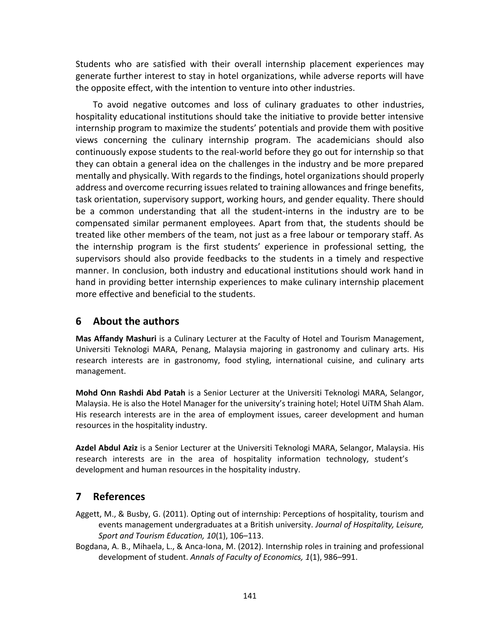Students who are satisfied with their overall internship placement experiences may generate further interest to stay in hotel organizations, while adverse reports will have the opposite effect, with the intention to venture into other industries.

To avoid negative outcomes and loss of culinary graduates to other industries, hospitality educational institutions should take the initiative to provide better intensive internship program to maximize the students' potentials and provide them with positive views concerning the culinary internship program. The academicians should also continuously expose students to the real-world before they go out for internship so that they can obtain a general idea on the challenges in the industry and be more prepared mentally and physically. With regards to the findings, hotel organizations should properly address and overcome recurring issues related to training allowances and fringe benefits, task orientation, supervisory support, working hours, and gender equality. There should be a common understanding that all the student-interns in the industry are to be compensated similar permanent employees. Apart from that, the students should be treated like other members of the team, not just as a free labour or temporary staff. As the internship program is the first students' experience in professional setting, the supervisors should also provide feedbacks to the students in a timely and respective manner. In conclusion, both industry and educational institutions should work hand in hand in providing better internship experiences to make culinary internship placement more effective and beneficial to the students.

## **6 About the authors**

**Mas Affandy Mashuri** is a Culinary Lecturer at the Faculty of Hotel and Tourism Management, Universiti Teknologi MARA, Penang, Malaysia majoring in gastronomy and culinary arts. His research interests are in gastronomy, food styling, international cuisine, and culinary arts management.

**Mohd Onn Rashdi Abd Patah** is a Senior Lecturer at the Universiti Teknologi MARA, Selangor, Malaysia. He is also the Hotel Manager for the university's training hotel; Hotel UiTM Shah Alam. His research interests are in the area of employment issues, career development and human resources in the hospitality industry.

**Azdel Abdul Aziz** is a Senior Lecturer at the Universiti Teknologi MARA, Selangor, Malaysia. His research interests are in the area of hospitality information technology, student's development and human resources in the hospitality industry.

## **7 References**

- Aggett, M., & Busby, G. (2011). Opting out of internship: Perceptions of hospitality, tourism and events management undergraduates at a British university. *Journal of Hospitality, Leisure, Sport and Tourism Education, 10*(1), 106–113.
- Bogdana, A. B., Mihaela, L., & Anca-Iona, M. (2012). Internship roles in training and professional development of student. *Annals of Faculty of Economics, 1*(1), 986–991.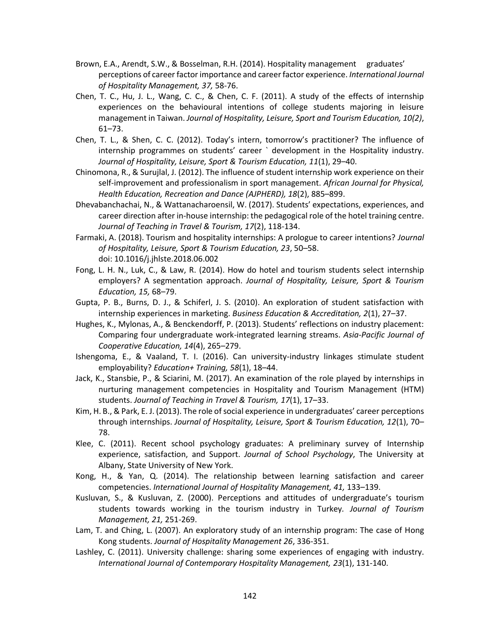- Brown, E.A., Arendt, S.W., & Bosselman, R.H. (2014). Hospitality management graduates' perceptions of career factor importance and career factor experience. *International Journal of Hospitality Management, 37,* 58-76.
- Chen, T. C., Hu, J. L., Wang, C. C., & Chen, C. F. (2011). A study of the effects of internship experiences on the behavioural intentions of college students majoring in leisure management in Taiwan. *Journal of Hospitality, Leisure, Sport and Tourism Education, 10(2)*, 61–73.
- Chen, T. L., & Shen, C. C. (2012). Today's intern, tomorrow's practitioner? The influence of internship programmes on students' career ` development in the Hospitality industry. *Journal of Hospitality, Leisure, Sport & Tourism Education, 11*(1), 29–40.
- Chinomona, R., & Surujlal, J. (2012). The influence of student internship work experience on their self-improvement and professionalism in sport management. *African Journal for Physical, Health Education, Recreation and Dance (AJPHERD), 18*(2), 885–899.
- Dhevabanchachai, N., & Wattanacharoensil, W. (2017). Students' expectations, experiences, and career direction after in-house internship: the pedagogical role of the hotel training centre. *Journal of Teaching in Travel & Tourism, 17*(2), 118-134.
- Farmaki, A. (2018). Tourism and hospitality internships: A prologue to career intentions? *Journal of Hospitality, Leisure, Sport & Tourism Education, 23*, 50–58. doi: 10.1016/j.jhlste.2018.06.002
- Fong, L. H. N., Luk, C., & Law, R. (2014). How do hotel and tourism students select internship employers? A segmentation approach. *Journal of Hospitality, Leisure, Sport & Tourism Education, 15,* 68–79.
- Gupta, P. B., Burns, D. J., & Schiferl, J. S. (2010). An exploration of student satisfaction with internship experiences in marketing. *Business Education & Accreditation, 2*(1), 27–37.
- Hughes, K., Mylonas, A., & Benckendorff, P. (2013). Students' reflections on industry placement: Comparing four undergraduate work-integrated learning streams. *Asia-Pacific Journal of Cooperative Education, 14*(4), 265–279.
- Ishengoma, E., & Vaaland, T. I. (2016). Can university-industry linkages stimulate student employability? *Education+ Training, 58*(1), 18–44.
- Jack, K., Stansbie, P., & Sciarini, M. (2017). An examination of the role played by internships in nurturing management competencies in Hospitality and Tourism Management (HTM) students. *Journal of Teaching in Travel & Tourism, 17*(1), 17–33.
- Kim, H. B., & Park, E. J. (2013). The role of social experience in undergraduates' career perceptions through internships. *Journal of Hospitality, Leisure, Sport & Tourism Education, 12*(1), 70– 78.
- Klee, C. (2011). Recent school psychology graduates: A preliminary survey of Internship experience, satisfaction, and Support. *Journal of School Psychology*, The University at Albany, State University of New York.
- Kong, H., & Yan, Q. (2014). The relationship between learning satisfaction and career competencies. *International Journal of Hospitality Management, 41,* 133–139.
- Kusluvan, S., & Kusluvan, Z. (2000). Perceptions and attitudes of undergraduate's tourism students towards working in the tourism industry in Turkey*. Journal of Tourism Management, 21,* 251-269.
- Lam, T. and Ching, L. (2007). An exploratory study of an internship program: The case of Hong Kong students. *Journal of Hospitality Management 26*, 336-351.
- Lashley, C. (2011). University challenge: sharing some experiences of engaging with industry. *International Journal of Contemporary Hospitality Management, 23*(1), 131-140.